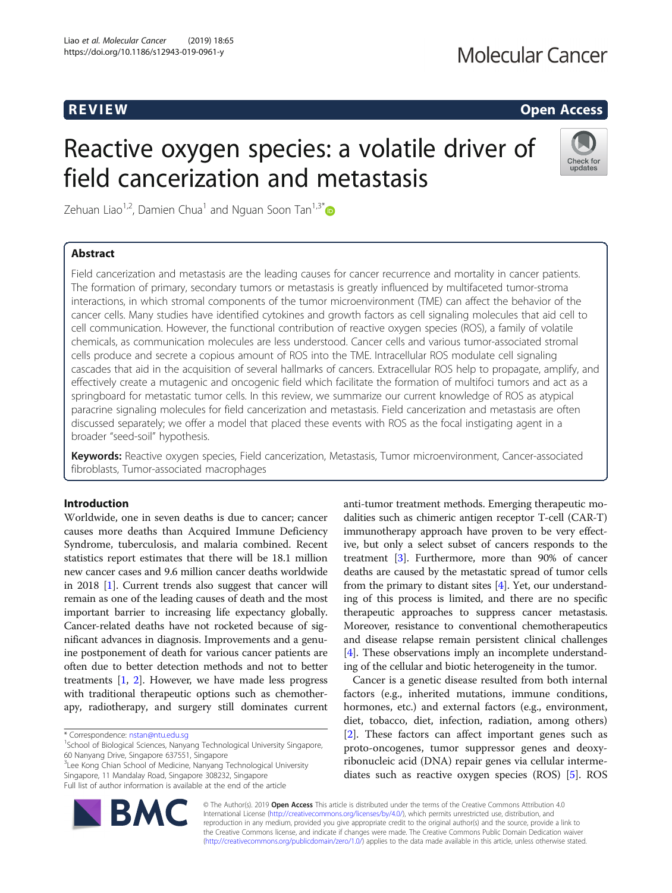# R EVI EW Open Access

# Reactive oxygen species: a volatile driver of field cancerization and metastasis



Zehuan Liao<sup>1,2</sup>, Damien Chua<sup>1</sup> and Nguan Soon Tan<sup>1,3[\\*](http://orcid.org/0000-0003-0136-7341)</sup>

# Abstract

Field cancerization and metastasis are the leading causes for cancer recurrence and mortality in cancer patients. The formation of primary, secondary tumors or metastasis is greatly influenced by multifaceted tumor-stroma interactions, in which stromal components of the tumor microenvironment (TME) can affect the behavior of the cancer cells. Many studies have identified cytokines and growth factors as cell signaling molecules that aid cell to cell communication. However, the functional contribution of reactive oxygen species (ROS), a family of volatile chemicals, as communication molecules are less understood. Cancer cells and various tumor-associated stromal cells produce and secrete a copious amount of ROS into the TME. Intracellular ROS modulate cell signaling cascades that aid in the acquisition of several hallmarks of cancers. Extracellular ROS help to propagate, amplify, and effectively create a mutagenic and oncogenic field which facilitate the formation of multifoci tumors and act as a springboard for metastatic tumor cells. In this review, we summarize our current knowledge of ROS as atypical paracrine signaling molecules for field cancerization and metastasis. Field cancerization and metastasis are often discussed separately; we offer a model that placed these events with ROS as the focal instigating agent in a broader "seed-soil" hypothesis.

Keywords: Reactive oxygen species, Field cancerization, Metastasis, Tumor microenvironment, Cancer-associated fibroblasts, Tumor-associated macrophages

# Introduction

Worldwide, one in seven deaths is due to cancer; cancer causes more deaths than Acquired Immune Deficiency Syndrome, tuberculosis, and malaria combined. Recent statistics report estimates that there will be 18.1 million new cancer cases and 9.6 million cancer deaths worldwide in 2018 [[1\]](#page-7-0). Current trends also suggest that cancer will remain as one of the leading causes of death and the most important barrier to increasing life expectancy globally. Cancer-related deaths have not rocketed because of significant advances in diagnosis. Improvements and a genuine postponement of death for various cancer patients are often due to better detection methods and not to better treatments [\[1,](#page-7-0) [2](#page-7-0)]. However, we have made less progress with traditional therapeutic options such as chemotherapy, radiotherapy, and surgery still dominates current

<sup>3</sup>Lee Kong Chian School of Medicine, Nanyang Technological University Singapore, 11 Mandalay Road, Singapore 308232, Singapore Full list of author information is available at the end of the article

anti-tumor treatment methods. Emerging therapeutic modalities such as chimeric antigen receptor T-cell (CAR-T) immunotherapy approach have proven to be very effective, but only a select subset of cancers responds to the treatment [[3](#page-7-0)]. Furthermore, more than 90% of cancer deaths are caused by the metastatic spread of tumor cells from the primary to distant sites [[4](#page-7-0)]. Yet, our understanding of this process is limited, and there are no specific therapeutic approaches to suppress cancer metastasis. Moreover, resistance to conventional chemotherapeutics and disease relapse remain persistent clinical challenges [[4\]](#page-7-0). These observations imply an incomplete understanding of the cellular and biotic heterogeneity in the tumor.

Cancer is a genetic disease resulted from both internal factors (e.g., inherited mutations, immune conditions, hormones, etc.) and external factors (e.g., environment, diet, tobacco, diet, infection, radiation, among others) [[2\]](#page-7-0). These factors can affect important genes such as proto-oncogenes, tumor suppressor genes and deoxyribonucleic acid (DNA) repair genes via cellular intermediates such as reactive oxygen species (ROS) [\[5\]](#page-7-0). ROS



© The Author(s). 2019 Open Access This article is distributed under the terms of the Creative Commons Attribution 4.0 International License [\(http://creativecommons.org/licenses/by/4.0/](http://creativecommons.org/licenses/by/4.0/)), which permits unrestricted use, distribution, and reproduction in any medium, provided you give appropriate credit to the original author(s) and the source, provide a link to the Creative Commons license, and indicate if changes were made. The Creative Commons Public Domain Dedication waiver [\(http://creativecommons.org/publicdomain/zero/1.0/](http://creativecommons.org/publicdomain/zero/1.0/)) applies to the data made available in this article, unless otherwise stated.

<sup>\*</sup> Correspondence: [nstan@ntu.edu.sg](mailto:nstan@ntu.edu.sg) <sup>1</sup>

<sup>&</sup>lt;sup>1</sup>School of Biological Sciences, Nanyang Technological University Singapore, 60 Nanyang Drive, Singapore 637551, Singapore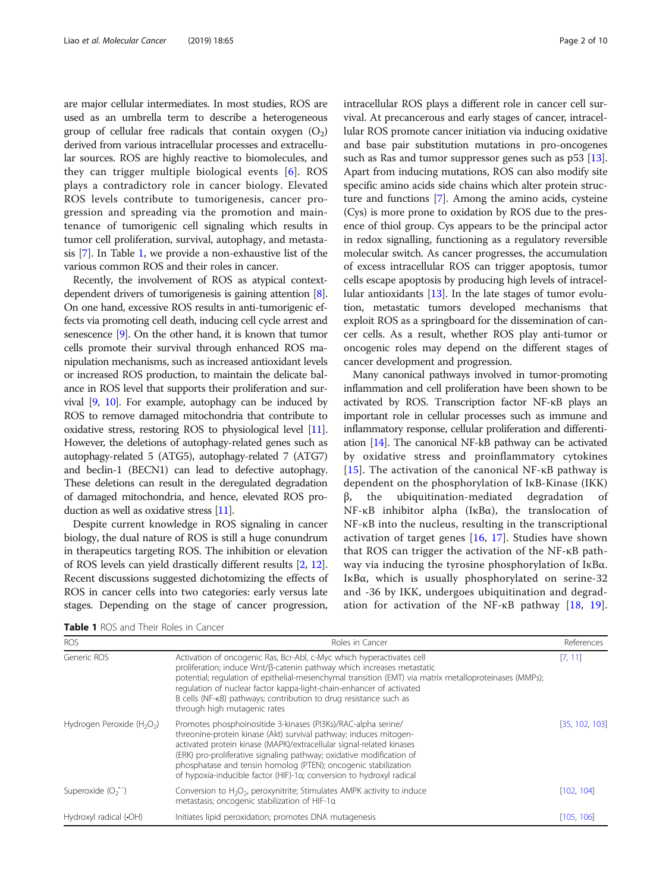are major cellular intermediates. In most studies, ROS are used as an umbrella term to describe a heterogeneous group of cellular free radicals that contain oxygen  $(O_2)$ derived from various intracellular processes and extracellular sources. ROS are highly reactive to biomolecules, and they can trigger multiple biological events [\[6\]](#page-7-0). ROS plays a contradictory role in cancer biology. Elevated ROS levels contribute to tumorigenesis, cancer progression and spreading via the promotion and maintenance of tumorigenic cell signaling which results in tumor cell proliferation, survival, autophagy, and metastasis [[7\]](#page-7-0). In Table 1, we provide a non-exhaustive list of the various common ROS and their roles in cancer.

Recently, the involvement of ROS as atypical contextdependent drivers of tumorigenesis is gaining attention [[8](#page-7-0)]. On one hand, excessive ROS results in anti-tumorigenic effects via promoting cell death, inducing cell cycle arrest and senescence [\[9\]](#page-7-0). On the other hand, it is known that tumor cells promote their survival through enhanced ROS manipulation mechanisms, such as increased antioxidant levels or increased ROS production, to maintain the delicate balance in ROS level that supports their proliferation and survival [[9](#page-7-0), [10](#page-7-0)]. For example, autophagy can be induced by ROS to remove damaged mitochondria that contribute to oxidative stress, restoring ROS to physiological level [\[11](#page-7-0)]. However, the deletions of autophagy-related genes such as autophagy-related 5 (ATG5), autophagy-related 7 (ATG7) and beclin-1 (BECN1) can lead to defective autophagy. These deletions can result in the deregulated degradation of damaged mitochondria, and hence, elevated ROS production as well as oxidative stress [\[11\]](#page-7-0).

Despite current knowledge in ROS signaling in cancer biology, the dual nature of ROS is still a huge conundrum in therapeutics targeting ROS. The inhibition or elevation of ROS levels can yield drastically different results [[2](#page-7-0), [12](#page-7-0)]. Recent discussions suggested dichotomizing the effects of ROS in cancer cells into two categories: early versus late stages. Depending on the stage of cancer progression, intracellular ROS plays a different role in cancer cell survival. At precancerous and early stages of cancer, intracellular ROS promote cancer initiation via inducing oxidative and base pair substitution mutations in pro-oncogenes such as Ras and tumor suppressor genes such as p53 [[13](#page-7-0)]. Apart from inducing mutations, ROS can also modify site specific amino acids side chains which alter protein structure and functions [[7](#page-7-0)]. Among the amino acids, cysteine (Cys) is more prone to oxidation by ROS due to the presence of thiol group. Cys appears to be the principal actor in redox signalling, functioning as a regulatory reversible molecular switch. As cancer progresses, the accumulation of excess intracellular ROS can trigger apoptosis, tumor cells escape apoptosis by producing high levels of intracellular antioxidants [\[13\]](#page-7-0). In the late stages of tumor evolution, metastatic tumors developed mechanisms that exploit ROS as a springboard for the dissemination of cancer cells. As a result, whether ROS play anti-tumor or oncogenic roles may depend on the different stages of cancer development and progression.

Many canonical pathways involved in tumor-promoting inflammation and cell proliferation have been shown to be activated by ROS. Transcription factor NF-κB plays an important role in cellular processes such as immune and inflammatory response, cellular proliferation and differentiation [\[14](#page-7-0)]. The canonical NF-kB pathway can be activated by oxidative stress and proinflammatory cytokines [[15](#page-7-0)]. The activation of the canonical NF- $\kappa$ B pathway is dependent on the phosphorylation of IκB-Kinase (IKK) β, the ubiquitination-mediated degradation of NF-κB inhibitor alpha (IκBα), the translocation of NF-κB into the nucleus, resulting in the transcriptional activation of target genes [[16,](#page-7-0) [17\]](#page-7-0). Studies have shown that ROS can trigger the activation of the NF-κB pathway via inducing the tyrosine phosphorylation of IκBα. IκBα, which is usually phosphorylated on serine-32 and -36 by IKK, undergoes ubiquitination and degradation for activation of the NF- $\kappa$ B pathway [[18](#page-7-0), [19](#page-7-0)].

Table 1 ROS and Their Roles in Cancer

| <b>ROS</b>                                         | Roles in Cancer                                                                                                                                                                                                                                                                                                                                                                                                                        | References     |
|----------------------------------------------------|----------------------------------------------------------------------------------------------------------------------------------------------------------------------------------------------------------------------------------------------------------------------------------------------------------------------------------------------------------------------------------------------------------------------------------------|----------------|
| Generic ROS                                        | Activation of oncogenic Ras, Bcr-Abl, c-Myc which hyperactivates cell<br>proliferation; induce Wnt/ß-catenin pathway which increases metastatic<br>potential; requlation of epithelial-mesenchymal transition (EMT) via matrix metalloproteinases (MMPs);<br>regulation of nuclear factor kappa-light-chain-enhancer of activated<br>B cells (NF-KB) pathways; contribution to drug resistance such as<br>through high mutagenic rates | [7, 11]        |
| Hydrogen Peroxide (H <sub>2</sub> O <sub>2</sub> ) | Promotes phosphoinositide 3-kinases (PI3Ks)/RAC-alpha serine/<br>threonine-protein kinase (Akt) survival pathway; induces mitogen-<br>activated protein kinase (MAPK)/extracellular signal-related kinases<br>(ERK) pro-proliferative signaling pathway; oxidative modification of<br>phosphatase and tensin homolog (PTEN); oncogenic stabilization<br>of hypoxia-inducible factor (HIF)-1a; conversion to hydroxyl radical           | [35, 102, 103] |
| Superoxide $(O_2^-)$                               | Conversion to $H_2O_2$ , peroxynitrite; Stimulates AMPK activity to induce<br>metastasis; oncogenic stabilization of HIF-1a                                                                                                                                                                                                                                                                                                            | [102, 104]     |
| Hydroxyl radical (OH)                              | Initiates lipid peroxidation; promotes DNA mutagenesis                                                                                                                                                                                                                                                                                                                                                                                 | [105, 106]     |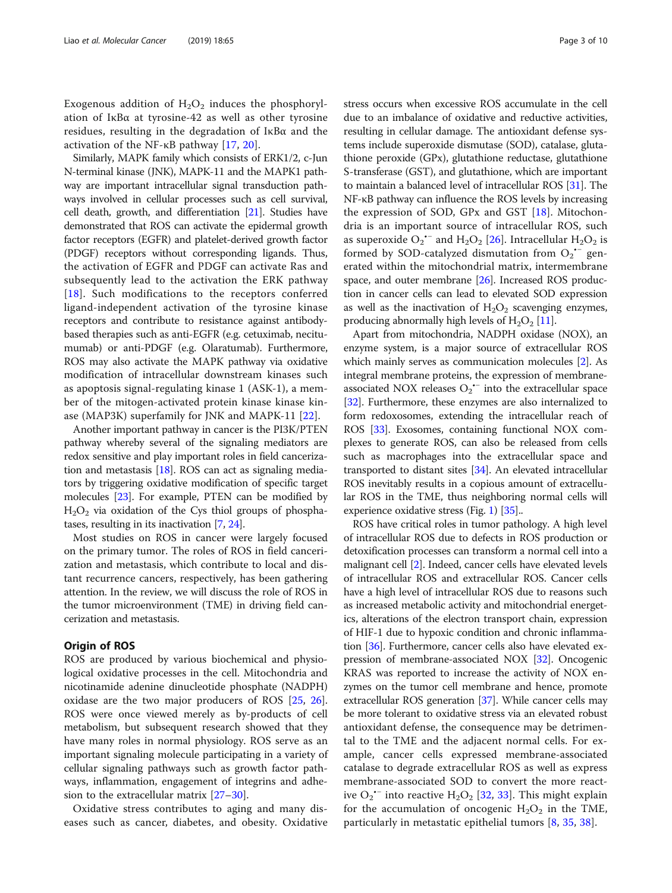Exogenous addition of  $H_2O_2$  induces the phosphorylation of IκBα at tyrosine-42 as well as other tyrosine residues, resulting in the degradation of IκBα and the activation of the NF-κB pathway [[17](#page-7-0), [20](#page-7-0)].

Similarly, MAPK family which consists of ERK1/2, c-Jun N-terminal kinase (JNK), MAPK-11 and the MAPK1 pathway are important intracellular signal transduction pathways involved in cellular processes such as cell survival, cell death, growth, and differentiation [\[21\]](#page-7-0). Studies have demonstrated that ROS can activate the epidermal growth factor receptors (EGFR) and platelet-derived growth factor (PDGF) receptors without corresponding ligands. Thus, the activation of EGFR and PDGF can activate Ras and subsequently lead to the activation the ERK pathway [[18](#page-7-0)]. Such modifications to the receptors conferred ligand-independent activation of the tyrosine kinase receptors and contribute to resistance against antibodybased therapies such as anti-EGFR (e.g. cetuximab, necitumumab) or anti-PDGF (e.g. Olaratumab). Furthermore, ROS may also activate the MAPK pathway via oxidative modification of intracellular downstream kinases such as apoptosis signal-regulating kinase 1 (ASK-1), a member of the mitogen-activated protein kinase kinase kinase (MAP3K) superfamily for JNK and MAPK-11 [[22\]](#page-7-0).

Another important pathway in cancer is the PI3K/PTEN pathway whereby several of the signaling mediators are redox sensitive and play important roles in field cancerization and metastasis [\[18\]](#page-7-0). ROS can act as signaling mediators by triggering oxidative modification of specific target molecules [\[23\]](#page-7-0). For example, PTEN can be modified by  $H<sub>2</sub>O<sub>2</sub>$  via oxidation of the Cys thiol groups of phosphatases, resulting in its inactivation [\[7,](#page-7-0) [24](#page-7-0)].

Most studies on ROS in cancer were largely focused on the primary tumor. The roles of ROS in field cancerization and metastasis, which contribute to local and distant recurrence cancers, respectively, has been gathering attention. In the review, we will discuss the role of ROS in the tumor microenvironment (TME) in driving field cancerization and metastasis.

### Origin of ROS

ROS are produced by various biochemical and physiological oxidative processes in the cell. Mitochondria and nicotinamide adenine dinucleotide phosphate (NADPH) oxidase are the two major producers of ROS [[25,](#page-7-0) [26](#page-7-0)]. ROS were once viewed merely as by-products of cell metabolism, but subsequent research showed that they have many roles in normal physiology. ROS serve as an important signaling molecule participating in a variety of cellular signaling pathways such as growth factor pathways, inflammation, engagement of integrins and adhesion to the extracellular matrix [[27](#page-7-0)–[30](#page-7-0)].

Oxidative stress contributes to aging and many diseases such as cancer, diabetes, and obesity. Oxidative stress occurs when excessive ROS accumulate in the cell due to an imbalance of oxidative and reductive activities, resulting in cellular damage. The antioxidant defense systems include superoxide dismutase (SOD), catalase, glutathione peroxide (GPx), glutathione reductase, glutathione S-transferase (GST), and glutathione, which are important to maintain a balanced level of intracellular ROS [\[31\]](#page-7-0). The NF-κB pathway can influence the ROS levels by increasing the expression of SOD, GPx and GST [[18\]](#page-7-0). Mitochondria is an important source of intracellular ROS, such as superoxide  $O_2$ <sup>--</sup> and  $H_2O_2$  [[26\]](#page-7-0). Intracellular  $H_2O_2$  is formed by SOD-catalyzed dismutation from  $O_2$ <sup>+-</sup> generated within the mitochondrial matrix, intermembrane space, and outer membrane [[26](#page-7-0)]. Increased ROS production in cancer cells can lead to elevated SOD expression as well as the inactivation of  $H_2O_2$  scavenging enzymes, producing abnormally high levels of  $H_2O_2$  [[11](#page-7-0)].

Apart from mitochondria, NADPH oxidase (NOX), an enzyme system, is a major source of extracellular ROS which mainly serves as communication molecules [\[2](#page-7-0)]. As integral membrane proteins, the expression of membraneassociated NOX releases  $O_2$ <sup>+-</sup> into the extracellular space [[32](#page-7-0)]. Furthermore, these enzymes are also internalized to form redoxosomes, extending the intracellular reach of ROS [\[33\]](#page-7-0). Exosomes, containing functional NOX complexes to generate ROS, can also be released from cells such as macrophages into the extracellular space and transported to distant sites [[34](#page-7-0)]. An elevated intracellular ROS inevitably results in a copious amount of extracellular ROS in the TME, thus neighboring normal cells will experience oxidative stress (Fig. [1](#page-3-0)) [[35\]](#page-7-0)..

ROS have critical roles in tumor pathology. A high level of intracellular ROS due to defects in ROS production or detoxification processes can transform a normal cell into a malignant cell [[2\]](#page-7-0). Indeed, cancer cells have elevated levels of intracellular ROS and extracellular ROS. Cancer cells have a high level of intracellular ROS due to reasons such as increased metabolic activity and mitochondrial energetics, alterations of the electron transport chain, expression of HIF-1 due to hypoxic condition and chronic inflammation [[36](#page-7-0)]. Furthermore, cancer cells also have elevated expression of membrane-associated NOX [[32](#page-7-0)]. Oncogenic KRAS was reported to increase the activity of NOX enzymes on the tumor cell membrane and hence, promote extracellular ROS generation [[37\]](#page-7-0). While cancer cells may be more tolerant to oxidative stress via an elevated robust antioxidant defense, the consequence may be detrimental to the TME and the adjacent normal cells. For example, cancer cells expressed membrane-associated catalase to degrade extracellular ROS as well as express membrane-associated SOD to convert the more reactive  $O_2$ <sup>\*-</sup> into reactive H<sub>2</sub>O<sub>2</sub> [[32,](#page-7-0) [33](#page-7-0)]. This might explain for the accumulation of oncogenic  $H_2O_2$  in the TME, particularly in metastatic epithelial tumors [[8,](#page-7-0) [35,](#page-7-0) [38\]](#page-7-0).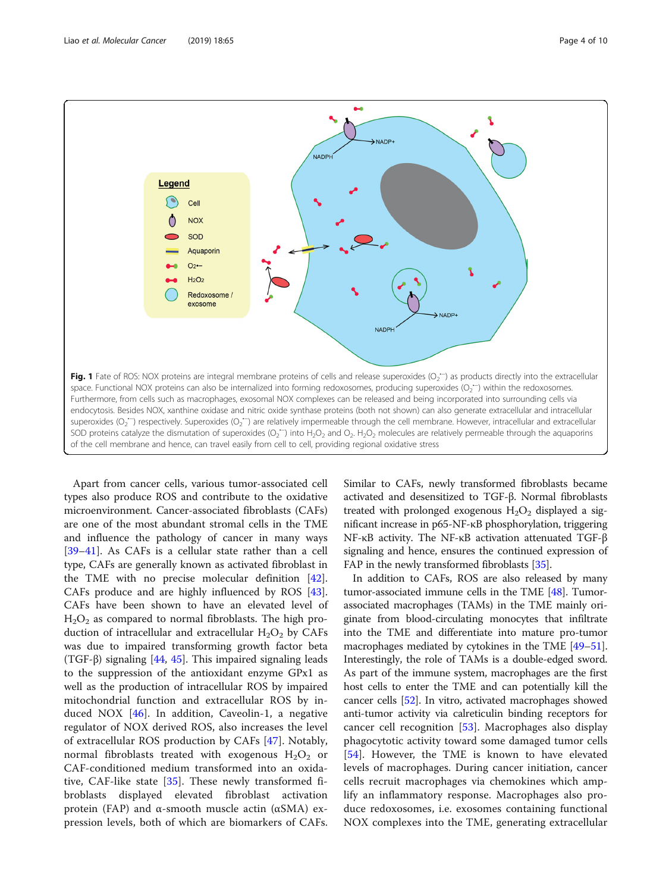<span id="page-3-0"></span>

Apart from cancer cells, various tumor-associated cell types also produce ROS and contribute to the oxidative microenvironment. Cancer-associated fibroblasts (CAFs) are one of the most abundant stromal cells in the TME and influence the pathology of cancer in many ways [[39](#page-7-0)–[41](#page-7-0)]. As CAFs is a cellular state rather than a cell type, CAFs are generally known as activated fibroblast in the TME with no precise molecular definition [\[42](#page-7-0)]. CAFs produce and are highly influenced by ROS [\[43](#page-7-0)]. CAFs have been shown to have an elevated level of  $H<sub>2</sub>O<sub>2</sub>$  as compared to normal fibroblasts. The high production of intracellular and extracellular  $H_2O_2$  by CAFs was due to impaired transforming growth factor beta (TGF-β) signaling  $[44, 45]$  $[44, 45]$  $[44, 45]$  $[44, 45]$ . This impaired signaling leads to the suppression of the antioxidant enzyme GPx1 as well as the production of intracellular ROS by impaired mitochondrial function and extracellular ROS by induced NOX [[46\]](#page-8-0). In addition, Caveolin-1, a negative regulator of NOX derived ROS, also increases the level of extracellular ROS production by CAFs [[47\]](#page-8-0). Notably, normal fibroblasts treated with exogenous  $H_2O_2$  or CAF-conditioned medium transformed into an oxidative, CAF-like state [[35\]](#page-7-0). These newly transformed fibroblasts displayed elevated fibroblast activation protein (FAP) and α-smooth muscle actin (αSMA) expression levels, both of which are biomarkers of CAFs. Similar to CAFs, newly transformed fibroblasts became activated and desensitized to TGF-β. Normal fibroblasts treated with prolonged exogenous  $H_2O_2$  displayed a significant increase in p65-NF-κB phosphorylation, triggering NF-κB activity. The NF-κB activation attenuated TGF-β signaling and hence, ensures the continued expression of FAP in the newly transformed fibroblasts [\[35](#page-7-0)].

In addition to CAFs, ROS are also released by many tumor-associated immune cells in the TME [[48](#page-8-0)]. Tumorassociated macrophages (TAMs) in the TME mainly originate from blood-circulating monocytes that infiltrate into the TME and differentiate into mature pro-tumor macrophages mediated by cytokines in the TME [\[49](#page-8-0)–[51](#page-8-0)]. Interestingly, the role of TAMs is a double-edged sword. As part of the immune system, macrophages are the first host cells to enter the TME and can potentially kill the cancer cells [\[52](#page-8-0)]. In vitro, activated macrophages showed anti-tumor activity via calreticulin binding receptors for cancer cell recognition [[53\]](#page-8-0). Macrophages also display phagocytotic activity toward some damaged tumor cells [[54\]](#page-8-0). However, the TME is known to have elevated levels of macrophages. During cancer initiation, cancer cells recruit macrophages via chemokines which amplify an inflammatory response. Macrophages also produce redoxosomes, i.e. exosomes containing functional NOX complexes into the TME, generating extracellular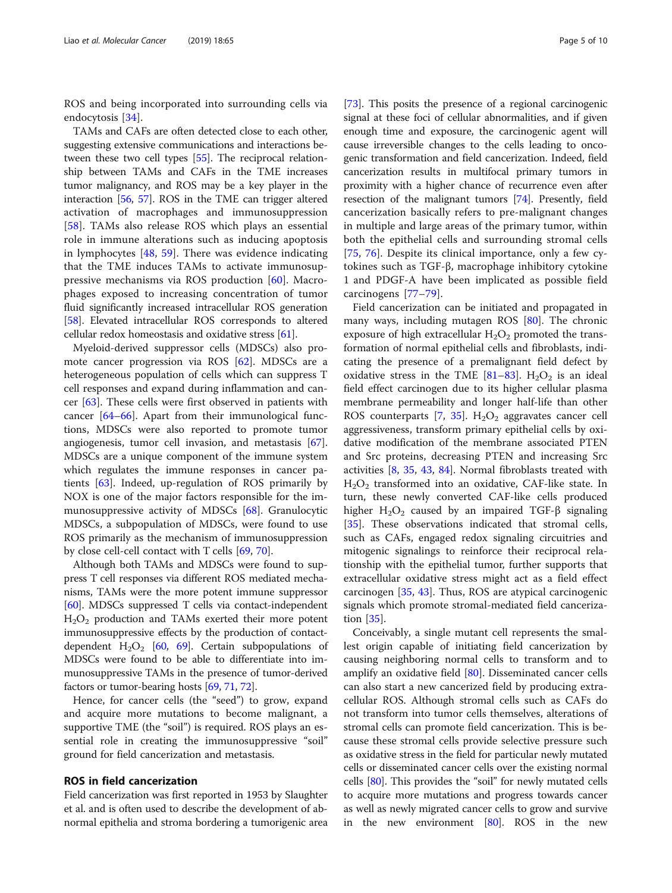ROS and being incorporated into surrounding cells via endocytosis [\[34](#page-7-0)].

TAMs and CAFs are often detected close to each other, suggesting extensive communications and interactions between these two cell types [[55](#page-8-0)]. The reciprocal relationship between TAMs and CAFs in the TME increases tumor malignancy, and ROS may be a key player in the interaction [[56,](#page-8-0) [57](#page-8-0)]. ROS in the TME can trigger altered activation of macrophages and immunosuppression [[58\]](#page-8-0). TAMs also release ROS which plays an essential role in immune alterations such as inducing apoptosis in lymphocytes [\[48](#page-8-0), [59](#page-8-0)]. There was evidence indicating that the TME induces TAMs to activate immunosuppressive mechanisms via ROS production [\[60](#page-8-0)]. Macrophages exposed to increasing concentration of tumor fluid significantly increased intracellular ROS generation [[58](#page-8-0)]. Elevated intracellular ROS corresponds to altered cellular redox homeostasis and oxidative stress [[61\]](#page-8-0).

Myeloid-derived suppressor cells (MDSCs) also promote cancer progression via ROS [\[62](#page-8-0)]. MDSCs are a heterogeneous population of cells which can suppress T cell responses and expand during inflammation and cancer [[63\]](#page-8-0). These cells were first observed in patients with cancer [\[64](#page-8-0)–[66\]](#page-8-0). Apart from their immunological functions, MDSCs were also reported to promote tumor angiogenesis, tumor cell invasion, and metastasis [\[67](#page-8-0)]. MDSCs are a unique component of the immune system which regulates the immune responses in cancer patients [\[63](#page-8-0)]. Indeed, up-regulation of ROS primarily by NOX is one of the major factors responsible for the immunosuppressive activity of MDSCs [\[68\]](#page-8-0). Granulocytic MDSCs, a subpopulation of MDSCs, were found to use ROS primarily as the mechanism of immunosuppression by close cell-cell contact with T cells [\[69](#page-8-0), [70\]](#page-8-0).

Although both TAMs and MDSCs were found to suppress T cell responses via different ROS mediated mechanisms, TAMs were the more potent immune suppressor [[60](#page-8-0)]. MDSCs suppressed T cells via contact-independent  $H_2O_2$  production and TAMs exerted their more potent immunosuppressive effects by the production of contactdependent  $H_2O_2$  [\[60,](#page-8-0) [69](#page-8-0)]. Certain subpopulations of MDSCs were found to be able to differentiate into immunosuppressive TAMs in the presence of tumor-derived factors or tumor-bearing hosts [\[69](#page-8-0), [71](#page-8-0), [72\]](#page-8-0).

Hence, for cancer cells (the "seed") to grow, expand and acquire more mutations to become malignant, a supportive TME (the "soil") is required. ROS plays an essential role in creating the immunosuppressive "soil" ground for field cancerization and metastasis.

#### ROS in field cancerization

Field cancerization was first reported in 1953 by Slaughter et al. and is often used to describe the development of abnormal epithelia and stroma bordering a tumorigenic area

[[73](#page-8-0)]. This posits the presence of a regional carcinogenic signal at these foci of cellular abnormalities, and if given enough time and exposure, the carcinogenic agent will cause irreversible changes to the cells leading to oncogenic transformation and field cancerization. Indeed, field cancerization results in multifocal primary tumors in proximity with a higher chance of recurrence even after resection of the malignant tumors [\[74\]](#page-8-0). Presently, field cancerization basically refers to pre-malignant changes in multiple and large areas of the primary tumor, within both the epithelial cells and surrounding stromal cells [[75,](#page-8-0) [76\]](#page-8-0). Despite its clinical importance, only a few cytokines such as TGF-β, macrophage inhibitory cytokine 1 and PDGF-A have been implicated as possible field carcinogens [\[77](#page-8-0)–[79](#page-8-0)].

Field cancerization can be initiated and propagated in many ways, including mutagen ROS [\[80](#page-8-0)]. The chronic exposure of high extracellular  $H_2O_2$  promoted the transformation of normal epithelial cells and fibroblasts, indicating the presence of a premalignant field defect by oxidative stress in the TME [\[81](#page-8-0)-[83](#page-8-0)].  $H_2O_2$  is an ideal field effect carcinogen due to its higher cellular plasma membrane permeability and longer half-life than other ROS counterparts [[7,](#page-7-0) [35](#page-7-0)].  $H_2O_2$  aggravates cancer cell aggressiveness, transform primary epithelial cells by oxidative modification of the membrane associated PTEN and Src proteins, decreasing PTEN and increasing Src activities [\[8,](#page-7-0) [35](#page-7-0), [43](#page-7-0), [84\]](#page-8-0). Normal fibroblasts treated with  $H<sub>2</sub>O<sub>2</sub>$  transformed into an oxidative, CAF-like state. In turn, these newly converted CAF-like cells produced higher H<sub>2</sub>O<sub>2</sub> caused by an impaired TGF-β signaling [[35\]](#page-7-0). These observations indicated that stromal cells, such as CAFs, engaged redox signaling circuitries and mitogenic signalings to reinforce their reciprocal relationship with the epithelial tumor, further supports that extracellular oxidative stress might act as a field effect carcinogen [[35](#page-7-0), [43](#page-7-0)]. Thus, ROS are atypical carcinogenic signals which promote stromal-mediated field cancerization [\[35\]](#page-7-0).

Conceivably, a single mutant cell represents the smallest origin capable of initiating field cancerization by causing neighboring normal cells to transform and to amplify an oxidative field [[80\]](#page-8-0). Disseminated cancer cells can also start a new cancerized field by producing extracellular ROS. Although stromal cells such as CAFs do not transform into tumor cells themselves, alterations of stromal cells can promote field cancerization. This is because these stromal cells provide selective pressure such as oxidative stress in the field for particular newly mutated cells or disseminated cancer cells over the existing normal cells [\[80\]](#page-8-0). This provides the "soil" for newly mutated cells to acquire more mutations and progress towards cancer as well as newly migrated cancer cells to grow and survive in the new environment [\[80\]](#page-8-0). ROS in the new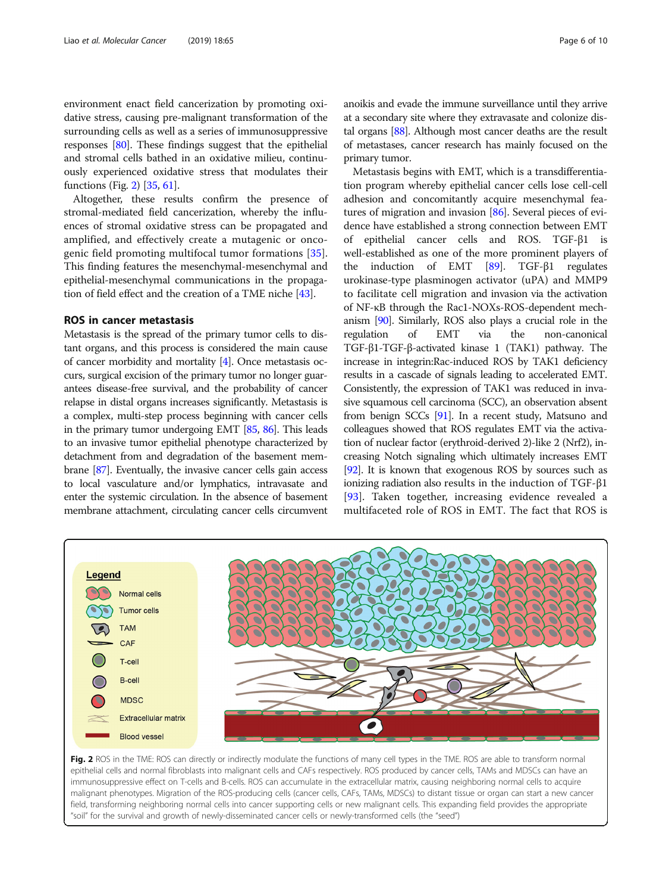environment enact field cancerization by promoting oxidative stress, causing pre-malignant transformation of the surrounding cells as well as a series of immunosuppressive responses [[80](#page-8-0)]. These findings suggest that the epithelial and stromal cells bathed in an oxidative milieu, continuously experienced oxidative stress that modulates their functions (Fig. 2) [\[35,](#page-7-0) [61](#page-8-0)].

Altogether, these results confirm the presence of stromal-mediated field cancerization, whereby the influences of stromal oxidative stress can be propagated and amplified, and effectively create a mutagenic or oncogenic field promoting multifocal tumor formations [\[35](#page-7-0)]. This finding features the mesenchymal-mesenchymal and epithelial-mesenchymal communications in the propagation of field effect and the creation of a TME niche [\[43\]](#page-7-0).

#### ROS in cancer metastasis

Metastasis is the spread of the primary tumor cells to distant organs, and this process is considered the main cause of cancer morbidity and mortality [\[4](#page-7-0)]. Once metastasis occurs, surgical excision of the primary tumor no longer guarantees disease-free survival, and the probability of cancer relapse in distal organs increases significantly. Metastasis is a complex, multi-step process beginning with cancer cells in the primary tumor undergoing EMT [[85](#page-8-0), [86\]](#page-8-0). This leads to an invasive tumor epithelial phenotype characterized by detachment from and degradation of the basement membrane [\[87](#page-8-0)]. Eventually, the invasive cancer cells gain access to local vasculature and/or lymphatics, intravasate and enter the systemic circulation. In the absence of basement membrane attachment, circulating cancer cells circumvent anoikis and evade the immune surveillance until they arrive at a secondary site where they extravasate and colonize distal organs [\[88\]](#page-8-0). Although most cancer deaths are the result of metastases, cancer research has mainly focused on the primary tumor.

Metastasis begins with EMT, which is a transdifferentiation program whereby epithelial cancer cells lose cell-cell adhesion and concomitantly acquire mesenchymal features of migration and invasion [[86](#page-8-0)]. Several pieces of evidence have established a strong connection between EMT of epithelial cancer cells and ROS. TGF-β1 is well-established as one of the more prominent players of the induction of EMT [\[89\]](#page-8-0). TGF-β1 regulates urokinase-type plasminogen activator (uPA) and MMP9 to facilitate cell migration and invasion via the activation of NF-κB through the Rac1-NOXs-ROS-dependent mechanism [\[90](#page-8-0)]. Similarly, ROS also plays a crucial role in the regulation of EMT via the non-canonical TGF-β1-TGF-β-activated kinase 1 (TAK1) pathway. The increase in integrin:Rac-induced ROS by TAK1 deficiency results in a cascade of signals leading to accelerated EMT. Consistently, the expression of TAK1 was reduced in invasive squamous cell carcinoma (SCC), an observation absent from benign SCCs [\[91](#page-8-0)]. In a recent study, Matsuno and colleagues showed that ROS regulates EMT via the activation of nuclear factor (erythroid-derived 2)-like 2 (Nrf2), increasing Notch signaling which ultimately increases EMT [[92](#page-8-0)]. It is known that exogenous ROS by sources such as ionizing radiation also results in the induction of TGF-β1 [[93\]](#page-8-0). Taken together, increasing evidence revealed a multifaceted role of ROS in EMT. The fact that ROS is



Fig. 2 ROS in the TME: ROS can directly or indirectly modulate the functions of many cell types in the TME. ROS are able to transform normal epithelial cells and normal fibroblasts into malignant cells and CAFs respectively. ROS produced by cancer cells, TAMs and MDSCs can have an immunosuppressive effect on T-cells and B-cells. ROS can accumulate in the extracellular matrix, causing neighboring normal cells to acquire malignant phenotypes. Migration of the ROS-producing cells (cancer cells, CAFs, TAMs, MDSCs) to distant tissue or organ can start a new cancer field, transforming neighboring normal cells into cancer supporting cells or new malignant cells. This expanding field provides the appropriate "soil" for the survival and growth of newly-disseminated cancer cells or newly-transformed cells (the "seed")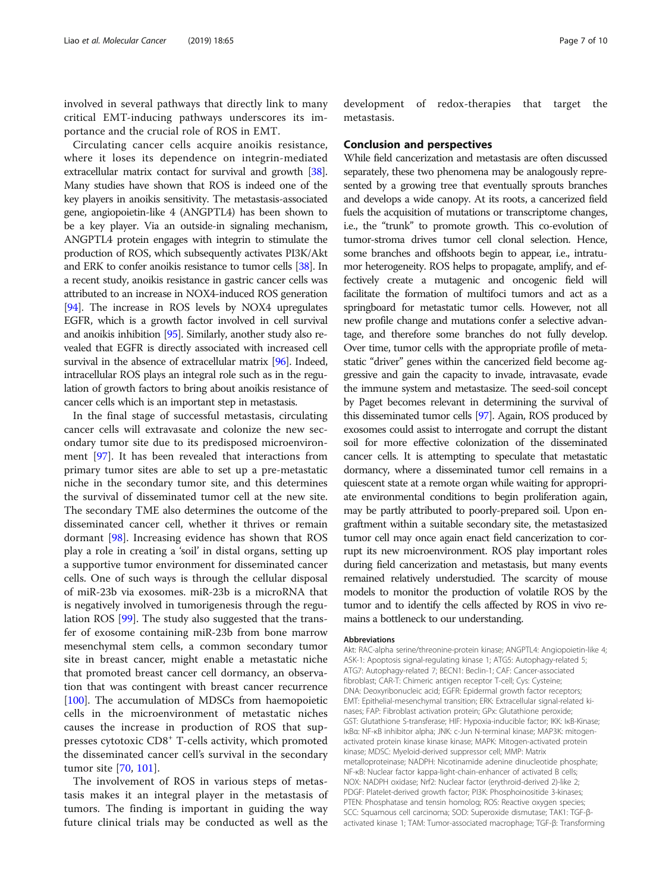involved in several pathways that directly link to many critical EMT-inducing pathways underscores its importance and the crucial role of ROS in EMT.

Circulating cancer cells acquire anoikis resistance, where it loses its dependence on integrin-mediated extracellular matrix contact for survival and growth [\[38](#page-7-0)]. Many studies have shown that ROS is indeed one of the key players in anoikis sensitivity. The metastasis-associated gene, angiopoietin-like 4 (ANGPTL4) has been shown to be a key player. Via an outside-in signaling mechanism, ANGPTL4 protein engages with integrin to stimulate the production of ROS, which subsequently activates PI3K/Akt and ERK to confer anoikis resistance to tumor cells [[38](#page-7-0)]. In a recent study, anoikis resistance in gastric cancer cells was attributed to an increase in NOX4-induced ROS generation [[94](#page-8-0)]. The increase in ROS levels by NOX4 upregulates EGFR, which is a growth factor involved in cell survival and anoikis inhibition [\[95\]](#page-8-0). Similarly, another study also revealed that EGFR is directly associated with increased cell survival in the absence of extracellular matrix [\[96](#page-8-0)]. Indeed, intracellular ROS plays an integral role such as in the regulation of growth factors to bring about anoikis resistance of cancer cells which is an important step in metastasis.

In the final stage of successful metastasis, circulating cancer cells will extravasate and colonize the new secondary tumor site due to its predisposed microenvironment [[97\]](#page-8-0). It has been revealed that interactions from primary tumor sites are able to set up a pre-metastatic niche in the secondary tumor site, and this determines the survival of disseminated tumor cell at the new site. The secondary TME also determines the outcome of the disseminated cancer cell, whether it thrives or remain dormant [\[98\]](#page-8-0). Increasing evidence has shown that ROS play a role in creating a 'soil' in distal organs, setting up a supportive tumor environment for disseminated cancer cells. One of such ways is through the cellular disposal of miR-23b via exosomes. miR-23b is a microRNA that is negatively involved in tumorigenesis through the regulation ROS [[99\]](#page-8-0). The study also suggested that the transfer of exosome containing miR-23b from bone marrow mesenchymal stem cells, a common secondary tumor site in breast cancer, might enable a metastatic niche that promoted breast cancer cell dormancy, an observation that was contingent with breast cancer recurrence [[100\]](#page-8-0). The accumulation of MDSCs from haemopoietic cells in the microenvironment of metastatic niches causes the increase in production of ROS that suppresses cytotoxic CD8<sup>+</sup> T-cells activity, which promoted the disseminated cancer cell's survival in the secondary tumor site [[70](#page-8-0), [101](#page-9-0)].

The involvement of ROS in various steps of metastasis makes it an integral player in the metastasis of tumors. The finding is important in guiding the way future clinical trials may be conducted as well as the development of redox-therapies that target the metastasis.

#### Conclusion and perspectives

While field cancerization and metastasis are often discussed separately, these two phenomena may be analogously represented by a growing tree that eventually sprouts branches and develops a wide canopy. At its roots, a cancerized field fuels the acquisition of mutations or transcriptome changes, i.e., the "trunk" to promote growth. This co-evolution of tumor-stroma drives tumor cell clonal selection. Hence, some branches and offshoots begin to appear, i.e., intratumor heterogeneity. ROS helps to propagate, amplify, and effectively create a mutagenic and oncogenic field will facilitate the formation of multifoci tumors and act as a springboard for metastatic tumor cells. However, not all new profile change and mutations confer a selective advantage, and therefore some branches do not fully develop. Over time, tumor cells with the appropriate profile of metastatic "driver" genes within the cancerized field become aggressive and gain the capacity to invade, intravasate, evade the immune system and metastasize. The seed-soil concept by Paget becomes relevant in determining the survival of this disseminated tumor cells [\[97](#page-8-0)]. Again, ROS produced by exosomes could assist to interrogate and corrupt the distant soil for more effective colonization of the disseminated cancer cells. It is attempting to speculate that metastatic dormancy, where a disseminated tumor cell remains in a quiescent state at a remote organ while waiting for appropriate environmental conditions to begin proliferation again, may be partly attributed to poorly-prepared soil. Upon engraftment within a suitable secondary site, the metastasized tumor cell may once again enact field cancerization to corrupt its new microenvironment. ROS play important roles during field cancerization and metastasis, but many events remained relatively understudied. The scarcity of mouse models to monitor the production of volatile ROS by the tumor and to identify the cells affected by ROS in vivo remains a bottleneck to our understanding.

#### Abbreviations

Akt: RAC-alpha serine/threonine-protein kinase; ANGPTL4: Angiopoietin-like 4; ASK-1: Apoptosis signal-regulating kinase 1; ATG5: Autophagy-related 5; ATG7: Autophagy-related 7; BECN1: Beclin-1; CAF: Cancer-associated fibroblast; CAR-T: Chimeric antigen receptor T-cell; Cys: Cysteine; DNA: Deoxyribonucleic acid; EGFR: Epidermal growth factor receptors; EMT: Epithelial-mesenchymal transition; ERK: Extracellular signal-related kinases; FAP: Fibroblast activation protein; GPx: Glutathione peroxide; GST: Glutathione S-transferase; HIF: Hypoxia-inducible factor; IKK: IκB-Kinase; IκBα: NF-κB inhibitor alpha; JNK: c-Jun N-terminal kinase; MAP3K: mitogenactivated protein kinase kinase kinase; MAPK: Mitogen-activated protein kinase; MDSC: Myeloid-derived suppressor cell; MMP: Matrix metalloproteinase; NADPH: Nicotinamide adenine dinucleotide phosphate; NF-κB: Nuclear factor kappa-light-chain-enhancer of activated B cells; NOX: NADPH oxidase; Nrf2: Nuclear factor (erythroid-derived 2)-like 2; PDGF: Platelet-derived growth factor; PI3K: Phosphoinositide 3-kinases; PTEN: Phosphatase and tensin homolog; ROS: Reactive oxygen species; SCC: Squamous cell carcinoma; SOD: Superoxide dismutase; TAK1: TGF-βactivated kinase 1; TAM: Tumor-associated macrophage; TGF-β: Transforming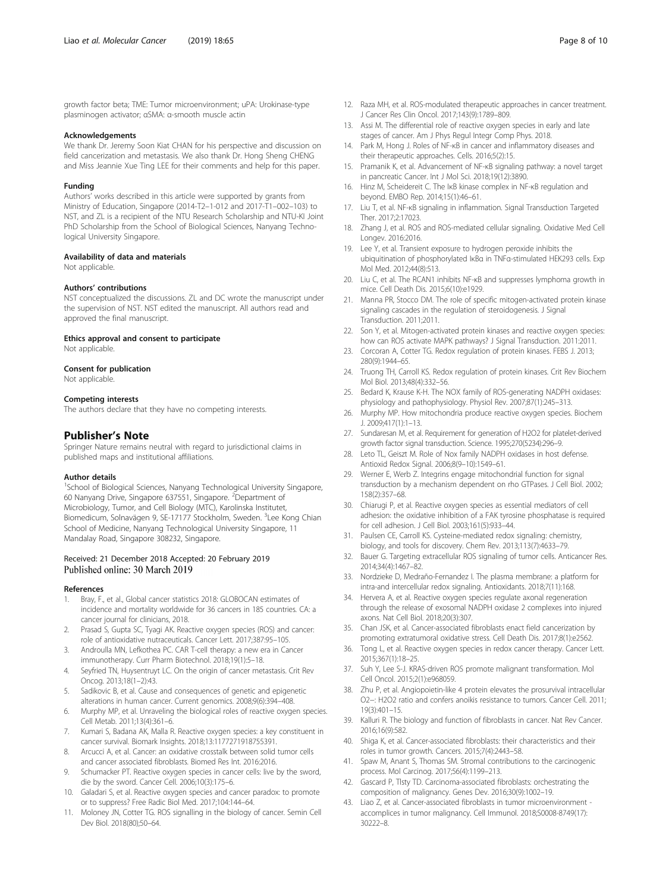<span id="page-7-0"></span>growth factor beta; TME: Tumor microenvironment; uPA: Urokinase-type plasminogen activator; αSMA: α-smooth muscle actin

#### Acknowledgements

We thank Dr. Jeremy Soon Kiat CHAN for his perspective and discussion on field cancerization and metastasis. We also thank Dr. Hong Sheng CHENG and Miss Jeannie Xue Ting LEE for their comments and help for this paper.

#### Funding

Authors' works described in this article were supported by grants from Ministry of Education, Singapore (2014-T2–1-012 and 2017-T1–002–103) to NST, and ZL is a recipient of the NTU Research Scholarship and NTU-KI Joint PhD Scholarship from the School of Biological Sciences, Nanyang Technological University Singapore.

#### Availability of data and materials

Not applicable.

#### Authors' contributions

NST conceptualized the discussions. ZL and DC wrote the manuscript under the supervision of NST. NST edited the manuscript. All authors read and approved the final manuscript.

## Ethics approval and consent to participate

Not applicable.

#### Consent for publication

Not applicable.

#### Competing interests

The authors declare that they have no competing interests.

#### Publisher's Note

Springer Nature remains neutral with regard to jurisdictional claims in published maps and institutional affiliations.

#### Author details

<sup>1</sup>School of Biological Sciences, Nanyang Technological University Singapore, 60 Nanyang Drive, Singapore 637551, Singapore. <sup>2</sup>Department of Microbiology, Tumor, and Cell Biology (MTC), Karolinska Institutet, Biomedicum, Solnavägen 9, SE-17177 Stockholm, Sweden. <sup>3</sup>Lee Kong Chian School of Medicine, Nanyang Technological University Singapore, 11 Mandalay Road, Singapore 308232, Singapore.

#### Received: 21 December 2018 Accepted: 20 February 2019 Published online: 30 March 2019

#### References

- 1. Bray, F., et al., Global cancer statistics 2018: GLOBOCAN estimates of incidence and mortality worldwide for 36 cancers in 185 countries. CA: a cancer journal for clinicians, 2018.
- 2. Prasad S, Gupta SC, Tyagi AK. Reactive oxygen species (ROS) and cancer: role of antioxidative nutraceuticals. Cancer Lett. 2017;387:95–105.
- 3. Androulla MN, Lefkothea PC. CAR T-cell therapy: a new era in Cancer immunotherapy. Curr Pharm Biotechnol. 2018;19(1):5–18.
- 4. Seyfried TN, Huysentruyt LC. On the origin of cancer metastasis. Crit Rev Oncog. 2013;18(1–2):43.
- 5. Sadikovic B, et al. Cause and consequences of genetic and epigenetic alterations in human cancer. Current genomics. 2008;9(6):394–408.
- 6. Murphy MP, et al. Unraveling the biological roles of reactive oxygen species. Cell Metab. 2011;13(4):361–6.
- Kumari S, Badana AK, Malla R. Reactive oxygen species: a key constituent in cancer survival. Biomark Insights. 2018;13:1177271918755391.
- 8. Arcucci A, et al. Cancer: an oxidative crosstalk between solid tumor cells and cancer associated fibroblasts. Biomed Res Int. 2016:2016.
- 9. Schumacker PT. Reactive oxygen species in cancer cells: live by the sword, die by the sword. Cancer Cell. 2006;10(3):175–6.
- 10. Galadari S, et al. Reactive oxygen species and cancer paradox: to promote or to suppress? Free Radic Biol Med. 2017;104:144–64.
- 11. Moloney JN, Cotter TG. ROS signalling in the biology of cancer. Semin Cell Dev Biol. 2018(80);50–64.
- 12. Raza MH, et al. ROS-modulated therapeutic approaches in cancer treatment. J Cancer Res Clin Oncol. 2017;143(9):1789–809.
- Assi M. The differential role of reactive oxygen species in early and late stages of cancer. Am J Phys Regul Integr Comp Phys. 2018.
- 14. Park M, Hong J. Roles of NF-κB in cancer and inflammatory diseases and their therapeutic approaches. Cells. 2016;5(2):15.
- 15. Pramanik K, et al. Advancement of NF-κB signaling pathway: a novel target in pancreatic Cancer. Int J Mol Sci. 2018;19(12):3890.
- 16. Hinz M, Scheidereit C. The IκB kinase complex in NF-κB regulation and beyond. EMBO Rep. 2014;15(1):46–61.
- 17. Liu T, et al. NF-κB signaling in inflammation. Signal Transduction Targeted Ther. 2017;2:17023.
- 18. Zhang J, et al. ROS and ROS-mediated cellular signaling. Oxidative Med Cell Longev. 2016:2016.
- 19. Lee Y, et al. Transient exposure to hydrogen peroxide inhibits the ubiquitination of phosphorylated IκBα in TNFα-stimulated HEK293 cells. Exp Mol Med. 2012;44(8):513.
- 20. Liu C, et al. The RCAN1 inhibits NF-κB and suppresses lymphoma growth in mice. Cell Death Dis. 2015;6(10):e1929.
- 21. Manna PR, Stocco DM. The role of specific mitogen-activated protein kinase signaling cascades in the regulation of steroidogenesis. J Signal Transduction. 2011;2011.
- 22. Son Y, et al. Mitogen-activated protein kinases and reactive oxygen species: how can ROS activate MAPK pathways? J Signal Transduction. 2011:2011.
- 23. Corcoran A, Cotter TG. Redox regulation of protein kinases. FEBS J. 2013; 280(9):1944–65.
- 24. Truong TH, Carroll KS. Redox regulation of protein kinases. Crit Rev Biochem Mol Biol. 2013;48(4):332–56.
- 25. Bedard K, Krause K-H. The NOX family of ROS-generating NADPH oxidases: physiology and pathophysiology. Physiol Rev. 2007;87(1):245–313.
- 26. Murphy MP. How mitochondria produce reactive oxygen species. Biochem J. 2009;417(1):1–13.
- 27. Sundaresan M, et al. Requirement for generation of H2O2 for platelet-derived growth factor signal transduction. Science. 1995;270(5234):296–9.
- 28. Leto TL, Geiszt M. Role of Nox family NADPH oxidases in host defense. Antioxid Redox Signal. 2006;8(9–10):1549–61.
- 29. Werner E, Werb Z. Integrins engage mitochondrial function for signal transduction by a mechanism dependent on rho GTPases. J Cell Biol. 2002; 158(2):357–68.
- 30. Chiarugi P, et al. Reactive oxygen species as essential mediators of cell adhesion: the oxidative inhibition of a FAK tyrosine phosphatase is required for cell adhesion. J Cell Biol. 2003;161(5):933–44.
- 31. Paulsen CE, Carroll KS. Cysteine-mediated redox signaling: chemistry, biology, and tools for discovery. Chem Rev. 2013;113(7):4633–79.
- 32. Bauer G. Targeting extracellular ROS signaling of tumor cells. Anticancer Res. 2014;34(4):1467–82.
- 33. Nordzieke D, Medraño-Fernandez I. The plasma membrane: a platform for intra-and intercellular redox signaling. Antioxidants. 2018;7(11):168.
- 34. Hervera A, et al. Reactive oxygen species regulate axonal regeneration through the release of exosomal NADPH oxidase 2 complexes into injured axons. Nat Cell Biol. 2018;20(3):307.
- 35. Chan JSK, et al. Cancer-associated fibroblasts enact field cancerization by promoting extratumoral oxidative stress. Cell Death Dis. 2017;8(1):e2562.
- Tong L, et al. Reactive oxygen species in redox cancer therapy. Cancer Lett. 2015;367(1):18–25.
- 37. Suh Y, Lee S-J. KRAS-driven ROS promote malignant transformation. Mol Cell Oncol. 2015;2(1):e968059.
- 38. Zhu P, et al. Angiopoietin-like 4 protein elevates the prosurvival intracellular O2−: H2O2 ratio and confers anoikis resistance to tumors. Cancer Cell. 2011; 19(3):401–15.
- 39. Kalluri R. The biology and function of fibroblasts in cancer. Nat Rev Cancer. 2016;16(9):582.
- 40. Shiga K, et al. Cancer-associated fibroblasts: their characteristics and their roles in tumor growth. Cancers. 2015;7(4):2443–58.
- 41. Spaw M, Anant S, Thomas SM. Stromal contributions to the carcinogenic process. Mol Carcinog. 2017;56(4):1199–213.
- 42. Gascard P, Tlsty TD. Carcinoma-associated fibroblasts: orchestrating the composition of malignancy. Genes Dev. 2016;30(9):1002–19.
- 43. Liao Z, et al. Cancer-associated fibroblasts in tumor microenvironment accomplices in tumor malignancy. Cell Immunol. 2018;S0008-8749(17): 30222–8.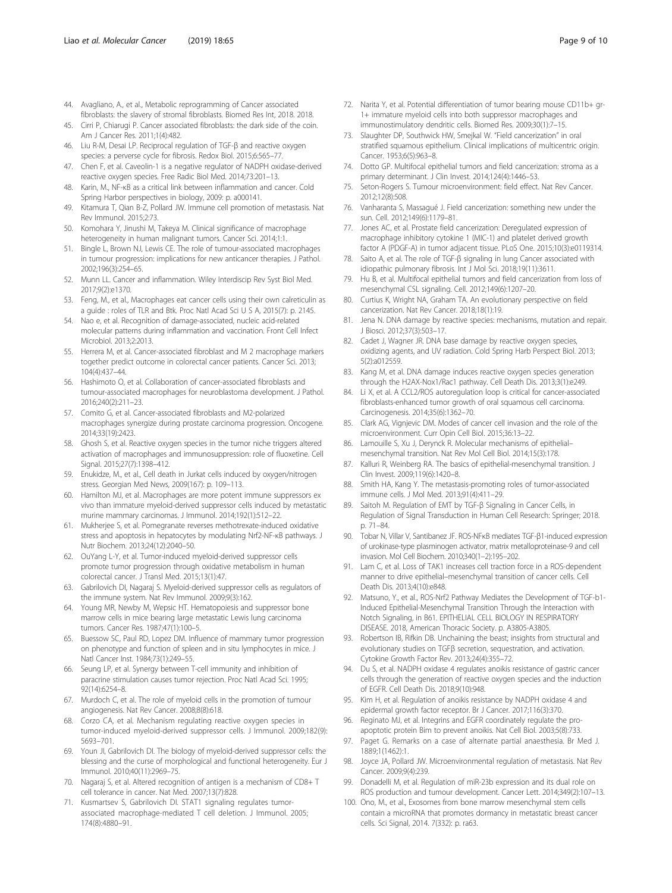- <span id="page-8-0"></span>44. Avagliano, A., et al., Metabolic reprogramming of Cancer associated fibroblasts: the slavery of stromal fibroblasts. Biomed Res Int, 2018. 2018.
- 45. Cirri P, Chiarugi P. Cancer associated fibroblasts: the dark side of the coin. Am J Cancer Res. 2011;1(4):482.
- 46. Liu R-M, Desai LP. Reciprocal regulation of TGF-β and reactive oxygen species: a perverse cycle for fibrosis. Redox Biol. 2015;6:565–77.
- 47. Chen F, et al. Caveolin-1 is a negative regulator of NADPH oxidase-derived reactive oxygen species. Free Radic Biol Med. 2014;73:201–13.
- 48. Karin, M., NF-κB as a critical link between inflammation and cancer. Cold Spring Harbor perspectives in biology, 2009: p. a000141.
- 49. Kitamura T, Qian B-Z, Pollard JW. Immune cell promotion of metastasis. Nat Rev Immunol. 2015;2:73.
- 50. Komohara Y, Jinushi M, Takeya M. Clinical significance of macrophage heterogeneity in human malignant tumors. Cancer Sci. 2014;1:1.
- 51. Bingle L, Brown NJ, Lewis CE. The role of tumour-associated macrophages in tumour progression: implications for new anticancer therapies. J Pathol. 2002;196(3):254–65.
- 52. Munn LL. Cancer and inflammation. Wiley Interdiscip Rev Syst Biol Med. 2017;9(2):e1370.
- 53. Feng, M., et al., Macrophages eat cancer cells using their own calreticulin as a guide : roles of TLR and Btk. Proc Natl Acad Sci U S A, 2015(7): p. 2145.
- 54. Nao e, et al. Recognition of damage-associated, nucleic acid-related molecular patterns during inflammation and vaccination. Front Cell Infect Microbiol. 2013;2:2013.
- 55. Herrera M, et al. Cancer-associated fibroblast and M 2 macrophage markers together predict outcome in colorectal cancer patients. Cancer Sci. 2013; 104(4):437–44.
- 56. Hashimoto O, et al. Collaboration of cancer-associated fibroblasts and tumour-associated macrophages for neuroblastoma development. J Pathol. 2016;240(2):211–23.
- 57. Comito G, et al. Cancer-associated fibroblasts and M2-polarized macrophages synergize during prostate carcinoma progression. Oncogene. 2014;33(19):2423.
- 58. Ghosh S, et al. Reactive oxygen species in the tumor niche triggers altered activation of macrophages and immunosuppression: role of fluoxetine. Cell Signal. 2015;27(7):1398–412.
- 59. Enukidze, M., et al., Cell death in Jurkat cells induced by oxygen/nitrogen stress. Georgian Med News, 2009(167): p. 109–113.
- 60. Hamilton MJ, et al. Macrophages are more potent immune suppressors ex vivo than immature myeloid-derived suppressor cells induced by metastatic murine mammary carcinomas. J Immunol. 2014;192(1):512–22.
- 61. Mukherjee S, et al. Pomegranate reverses methotrexate-induced oxidative stress and apoptosis in hepatocytes by modulating Nrf2-NF-κB pathways. J Nutr Biochem. 2013;24(12):2040–50.
- 62. OuYang L-Y, et al. Tumor-induced myeloid-derived suppressor cells promote tumor progression through oxidative metabolism in human colorectal cancer. J Transl Med. 2015;13(1):47.
- 63. Gabrilovich DI, Nagaraj S. Myeloid-derived suppressor cells as regulators of the immune system. Nat Rev Immunol. 2009;9(3):162.
- 64. Young MR, Newby M, Wepsic HT. Hematopoiesis and suppressor bone marrow cells in mice bearing large metastatic Lewis lung carcinoma tumors. Cancer Res. 1987;47(1):100–5.
- 65. Buessow SC, Paul RD, Lopez DM. Influence of mammary tumor progression on phenotype and function of spleen and in situ lymphocytes in mice. J Natl Cancer Inst. 1984;73(1):249–55.
- 66. Seung LP, et al. Synergy between T-cell immunity and inhibition of paracrine stimulation causes tumor rejection. Proc Natl Acad Sci. 1995; 92(14):6254–8.
- 67. Murdoch C, et al. The role of myeloid cells in the promotion of tumour angiogenesis. Nat Rev Cancer. 2008;8(8):618.
- 68. Corzo CA, et al. Mechanism regulating reactive oxygen species in tumor-induced myeloid-derived suppressor cells. J Immunol. 2009;182(9): 5693–701.
- 69. Youn JI, Gabrilovich DI. The biology of myeloid-derived suppressor cells: the blessing and the curse of morphological and functional heterogeneity. Eur J Immunol. 2010;40(11):2969–75.
- 70. Nagaraj S, et al. Altered recognition of antigen is a mechanism of CD8+ T cell tolerance in cancer. Nat Med. 2007;13(7):828.
- 71. Kusmartsev S, Gabrilovich DI. STAT1 signaling regulates tumorassociated macrophage-mediated T cell deletion. J Immunol. 2005; 174(8):4880–91.
- 72. Narita Y, et al. Potential differentiation of tumor bearing mouse CD11b+ gr-1+ immature myeloid cells into both suppressor macrophages and immunostimulatory dendritic cells. Biomed Res. 2009;30(1):7–15.
- 73. Slaughter DP, Southwick HW, Smejkal W. "Field cancerization" in oral stratified squamous epithelium. Clinical implications of multicentric origin. Cancer. 1953;6(5):963–8.
- 74. Dotto GP. Multifocal epithelial tumors and field cancerization: stroma as a primary determinant. J Clin Invest. 2014;124(4):1446–53.
- 75. Seton-Rogers S. Tumour microenvironment: field effect. Nat Rev Cancer. 2012;12(8):508.
- 76. Vanharanta S, Massagué J. Field cancerization: something new under the sun. Cell. 2012;149(6):1179–81.
- 77. Jones AC, et al. Prostate field cancerization: Deregulated expression of macrophage inhibitory cytokine 1 (MIC-1) and platelet derived growth factor A (PDGF-A) in tumor adjacent tissue. PLoS One. 2015;10(3):e0119314.
- 78. Saito A, et al. The role of TGF-β signaling in lung Cancer associated with idiopathic pulmonary fibrosis. Int J Mol Sci. 2018;19(11):3611.
- 79. Hu B, et al. Multifocal epithelial tumors and field cancerization from loss of mesenchymal CSL signaling. Cell. 2012;149(6):1207–20.
- 80. Curtius K, Wright NA, Graham TA. An evolutionary perspective on field cancerization. Nat Rev Cancer. 2018;18(1):19.
- 81. Jena N. DNA damage by reactive species: mechanisms, mutation and repair. J Biosci. 2012;37(3):503–17.
- 82. Cadet J, Wagner JR. DNA base damage by reactive oxygen species, oxidizing agents, and UV radiation. Cold Spring Harb Perspect Biol. 2013; 5(2):a012559.
- 83. Kang M, et al. DNA damage induces reactive oxygen species generation through the H2AX-Nox1/Rac1 pathway. Cell Death Dis. 2013;3(1):e249.
- 84. Li X, et al. A CCL2/ROS autoregulation loop is critical for cancer-associated fibroblasts-enhanced tumor growth of oral squamous cell carcinoma. Carcinogenesis. 2014;35(6):1362–70.
- 85. Clark AG, Vignjevic DM. Modes of cancer cell invasion and the role of the microenvironment. Curr Opin Cell Biol. 2015;36:13–22.
- Lamouille S, Xu J, Derynck R. Molecular mechanisms of epithelialmesenchymal transition. Nat Rev Mol Cell Biol. 2014;15(3):178.
- 87. Kalluri R, Weinberg RA. The basics of epithelial-mesenchymal transition. J Clin Invest. 2009;119(6):1420–8.
- 88. Smith HA, Kang Y. The metastasis-promoting roles of tumor-associated immune cells. J Mol Med. 2013;91(4):411–29.
- Saitoh M. Regulation of EMT by TGF-β Signaling in Cancer Cells, in Regulation of Signal Transduction in Human Cell Research: Springer; 2018. p. 71–84.
- 90. Tobar N, Villar V, Santibanez JF. ROS-NFκΒ mediates TGF-β1-induced expression of urokinase-type plasminogen activator, matrix metalloproteinase-9 and cell invasion. Mol Cell Biochem. 2010;340(1–2):195–202.
- 91. Lam C, et al. Loss of TAK1 increases cell traction force in a ROS-dependent manner to drive epithelial–mesenchymal transition of cancer cells. Cell Death Dis. 2013;4(10):e848.
- 92. Matsuno, Y., et al., ROS-Nrf2 Pathway Mediates the Development of TGF-b1- Induced Epithelial-Mesenchymal Transition Through the Interaction with Notch Signaling, in B61. EPITHELIAL CELL BIOLOGY IN RESPIRATORY DISEASE. 2018, American Thoracic Society. p. A3805-A3805.
- 93. Robertson IB, Rifkin DB. Unchaining the beast; insights from structural and evolutionary studies on TGFβ secretion, sequestration, and activation. Cytokine Growth Factor Rev. 2013;24(4):355–72.
- 94. Du S, et al. NADPH oxidase 4 regulates anoikis resistance of gastric cancer cells through the generation of reactive oxygen species and the induction of EGFR. Cell Death Dis. 2018;9(10):948.
- 95. Kim H, et al. Regulation of anoikis resistance by NADPH oxidase 4 and epidermal growth factor receptor. Br J Cancer. 2017;116(3):370.
- Reginato MJ, et al. Integrins and EGFR coordinately regulate the proapoptotic protein Bim to prevent anoikis. Nat Cell Biol. 2003;5(8):733.
- 97. Paget G. Remarks on a case of alternate partial anaesthesia. Br Med J. 1889;1(1462):1.
- 98. Joyce JA, Pollard JW. Microenvironmental regulation of metastasis. Nat Rev Cancer. 2009;9(4):239.
- Donadelli M, et al. Regulation of miR-23b expression and its dual role on ROS production and tumour development. Cancer Lett. 2014;349(2):107–13.
- 100. Ono, M., et al., Exosomes from bone marrow mesenchymal stem cells contain a microRNA that promotes dormancy in metastatic breast cancer cells. Sci Signal, 2014. 7(332): p. ra63.